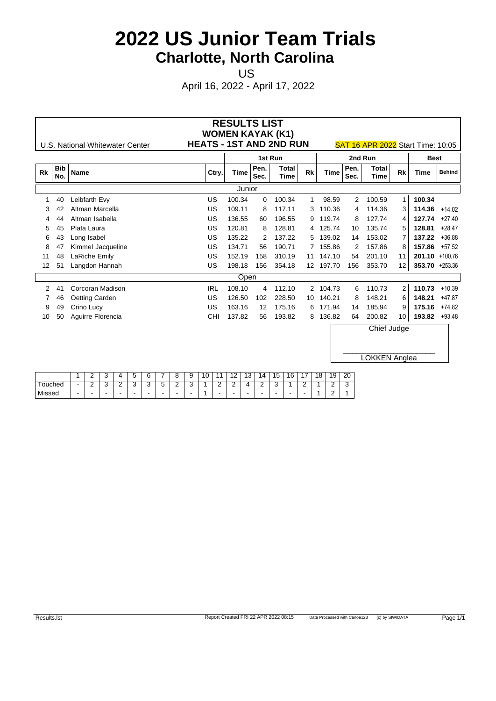US **US US US US** 

April 16, 2022 - April 17, 2022

|              |                   | U.S. National Whitewater Center | <b>HEATS - 1ST AND 2ND RUN</b> | <b>RESULTS LIST</b><br><b>WOMEN KAYAK (K1)</b> |              |               |           |             |              | <b>SAT 16 APR 2022 Start Time: 10:05</b> |                   |                |                 |
|--------------|-------------------|---------------------------------|--------------------------------|------------------------------------------------|--------------|---------------|-----------|-------------|--------------|------------------------------------------|-------------------|----------------|-----------------|
|              |                   |                                 |                                |                                                |              | 1st Run       |           |             |              | 2nd Run                                  |                   | <b>Best</b>    |                 |
| <b>Rk</b>    | <b>Bib</b><br>No. | <b>Name</b>                     | Ctry.                          | Time                                           | Pen.<br>Sec. | Total<br>Time | <b>Rk</b> | <b>Time</b> | Pen.<br>Sec. | <b>Total</b><br><b>Time</b>              | <b>Rk</b>         | Time           | <b>Behind</b>   |
|              |                   |                                 |                                | Junior                                         |              |               |           |             |              |                                          |                   |                |                 |
|              | 40                | Leibfarth Evy                   | US                             | 100.34                                         | $\Omega$     | 100.34        |           | 98.59       | 2            | 100.59                                   | $\mathbf{1}$      | 100.34         |                 |
| 3            |                   | Altman Marcella                 | US                             | 109.11                                         | 8            | 117.11        |           | 3 110.36    |              | 4 114.36                                 | 3                 | 114.36 +14.02  |                 |
| 4            | 44                | Altman Isabella                 | US                             | 136.55                                         | 60           | 196.55        |           | 9 119.74    | 8            | 127.74                                   | 4                 |                | $127.74 +27.40$ |
| 5            | 45                | Plata Laura                     | US                             | 120.81                                         | 8            | 128.81        |           | 4 125.74    | 10           | 135.74                                   | 5                 | 128.81         | $+28.47$        |
| 6            | 43                | Long Isabel                     | US                             | 135.22                                         |              | 137.22        |           | 5 139.02    | 14           | 153.02                                   |                   | 137.22         | $+36.88$        |
| 8            | 47                | Kimmel Jacqueline               | US                             | 134.71                                         | 56           | 190.71        |           | 7 155.86    | 2            | 157.86                                   | 8                 |                | 157.86 +57.52   |
| 11           | 48                | LaRiche Emily                   | US                             | 152.19                                         | 158          | 310.19        |           | 11 147.10   | 54           | 201.10                                   | 11                | 201.10 +100.76 |                 |
| 12           | 51                | Langdon Hannah                  | US                             | 198.18                                         | 156          | 354.18        |           | 12 197.70   | 156          | 353.70                                   | $12 \overline{ }$ | 353.70 +253.36 |                 |
|              |                   |                                 |                                | Open                                           |              |               |           |             |              |                                          |                   |                |                 |
| $\mathbf{2}$ | 41                | Corcoran Madison                | <b>IRL</b>                     | 108.10                                         | 4            | 112.10        |           | 2 104.73    | 6            | 110.73                                   | $\overline{2}$    | 110.73         | $+10.39$        |
|              | 46                | Oetting Carden                  | US                             | 126.50                                         | 102          | 228.50        |           | 10 140.21   | 8            | 148.21                                   | 6                 | 148.21         | $+47.87$        |
| 9            | 49                | Crino Lucy                      | US                             | 163.16                                         | 12           | 175.16        |           | 6 171.94    | 14           | 185.94                                   | 9                 | 175.16         | $+74.82$        |
| 10           | 50                | Aguirre Florencia               | CHI                            | 137.82                                         | 56           | 193.82        |           | 8 136.82    | 64           | 200.82                                   | 10                |                | 193.82 +93.48   |
|              |                   |                                 |                                |                                                |              |               |           |             |              | Chief Judge                              |                   |                |                 |

LOKKEN Anglea

|         |        | <u>_</u> | $\sim$<br>$\cdot$ |   | -<br>$\overline{\phantom{a}}$ | ◠          |         | $\circ$       | - 0                           | . 10<br>ັ | $\overline{A}$ |     | $\overline{10}$<br>U |     | $\overline{\phantom{0}}$<br>ּשׁ | $\overline{ }$<br>10.<br>_ |   | 18 | 19 | 20<br>__    |
|---------|--------|----------|-------------------|---|-------------------------------|------------|---------|---------------|-------------------------------|-----------|----------------|-----|----------------------|-----|---------------------------------|----------------------------|---|----|----|-------------|
| Touched | $\sim$ | -        | ⌒<br>             | - |                               | $\sim$<br> | $\cdot$ | ∽<br><u>_</u> | $\overline{\phantom{a}}$<br>ت |           | -              | -   |                      | -   |                                 |                            | - |    | -  | $\sim$<br>P |
| Missed  |        | . .      |                   |   |                               |            | -       |               |                               |           | $\sim$         | . . |                      | . . |                                 | --<br>$\sim$               |   |    | -  |             |

 $\overline{\phantom{a}}$  , and the set of the set of the set of the set of the set of the set of the set of the set of the set of the set of the set of the set of the set of the set of the set of the set of the set of the set of the s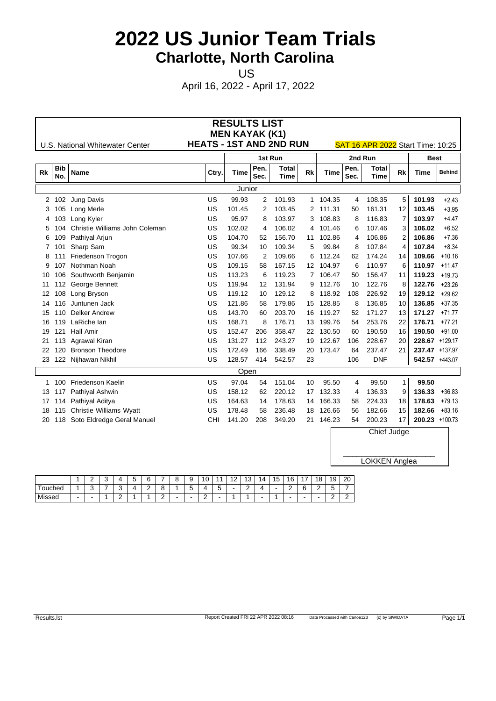US **US US US US** 

April 16, 2022 - April 17, 2022

|             |                   |                                 |                                | <b>RESULTS LIST</b>   |              |                      |           |           |              |                                   |              |                  |               |
|-------------|-------------------|---------------------------------|--------------------------------|-----------------------|--------------|----------------------|-----------|-----------|--------------|-----------------------------------|--------------|------------------|---------------|
|             |                   |                                 | <b>HEATS - 1ST AND 2ND RUN</b> | <b>MEN KAYAK (K1)</b> |              |                      |           |           |              |                                   |              |                  |               |
|             |                   | U.S. National Whitewater Center |                                |                       | 1st Run      |                      |           |           | 2nd Run      | SAT 16 APR 2022 Start Time: 10:25 |              | <b>Best</b>      |               |
| <b>Rk</b>   | <b>Bib</b><br>No. | <b>Name</b>                     | Ctry.                          | <b>Time</b>           | Pen.<br>Sec. | <b>Total</b><br>Time | <b>Rk</b> | Time      | Pen.<br>Sec. | <b>Total</b><br><b>Time</b>       | <b>Rk</b>    | Time             | <b>Behind</b> |
|             |                   |                                 |                                | Junior                |              |                      |           |           |              |                                   |              |                  |               |
| 2           | 102               | Jung Davis                      | US                             | 99.93                 | 2            | 101.93               |           | 1 104.35  | 4            | 108.35                            | 5            | 101.93           | $+2.43$       |
| 3           | 105               | Long Merle                      | US                             | 101.45                | 2            | 103.45               |           | 2 111.31  | 50           | 161.31                            | 12           | 103.45           | $+3.95$       |
| 4           | 103               | Long Kyler                      | US                             | 95.97                 | 8            | 103.97               |           | 3 108.83  | 8            | 116.83                            | 7            | 103.97           | $+4.47$       |
| 5           | 104               | Christie Williams John Coleman  | US                             | 102.02                | 4            | 106.02               |           | 4 101.46  | 6            | 107.46                            | 3            | 106.02           | $+6.52$       |
| 6           | 109               | Pathiyal Arjun                  | US                             | 104.70                | 52           | 156.70               |           | 11 102.86 | 4            | 106.86                            | 2            | 106.86           | $+7.36$       |
| $7^{\circ}$ | -101              | Sharp Sam                       | US                             | 99.34                 | 10           | 109.34               | 5         | 99.84     | 8            | 107.84                            | 4            | 107.84           | $+8.34$       |
| 8           |                   | Friedenson Trogon               | US                             | 107.66                | 2            | 109.66               | 6         | 112.24    | 62           | 174.24                            | 14           | 109.66           | $+10.16$      |
| 9           | 107               | Nothman Noah                    | US                             | 109.15                | 58           | 167.15               |           | 12 104.97 | 6            | 110.97                            | 6            | 110.97           | $+11.47$      |
| 10          | 106               | Southworth Benjamin             | US                             | 113.23                | 6            | 119.23               |           | 7 106.47  | 50           | 156.47                            | 11           | 119.23           | $+19.73$      |
| 11          | 112               | George Bennett                  | US                             | 119.94                | 12           | 131.94               |           | 9 112.76  | 10           | 122.76                            | 8            | 122.76           | $+23.26$      |
| 12          | 108               | Long Bryson                     | US                             | 119.12                | 10           | 129.12               |           | 8 118.92  | 108          | 226.92                            | 19           | 129.12           | $+29.62$      |
| 14          | 116               | Juntunen Jack                   | US                             | 121.86                | 58           | 179.86               |           | 15 128.85 | 8            | 136.85                            | 10           | $136.85 + 37.35$ |               |
| 15          | 110               | Delker Andrew                   | US                             | 143.70                | 60           | 203.70               |           | 16 119.27 | 52           | 171.27                            | 13           | $171.27 + 71.77$ |               |
| 16          | 119               | LaRiche lan                     | US                             | 168.71                | 8            | 176.71               |           | 13 199.76 | 54           | 253.76                            | 22           | 176.71           | $+77.21$      |
| 19          | 121               | <b>Hall Amir</b>                | US                             | 152.47                | 206          | 358.47               |           | 22 130.50 | 60           | 190.50                            | 16           | 190.50           | $+91.00$      |
| 21          | 113               | Agrawal Kiran                   | US                             | 131.27                | 112          | 243.27               |           | 19 122.67 | 106          | 228.67                            | 20           | 228.67 +129.17   |               |
| 22          | 120               | <b>Bronson Theodore</b>         | US                             | 172.49                | 166          | 338.49               |           | 20 173.47 | 64           | 237.47                            | 21           | 237.47 +137.97   |               |
|             |                   | 23 122 Nijhawan Nikhil          | US                             | 128.57                | 414          | 542.57               | 23        |           | 106          | <b>DNF</b>                        |              | 542.57 +443.07   |               |
|             |                   |                                 |                                | Open                  |              |                      |           |           |              |                                   |              |                  |               |
|             | 1 100             | Friedenson Kaelin               | US                             | 97.04                 | 54           | 151.04               | 10        | 95.50     | 4            | 99.50                             | $\mathbf{1}$ | 99.50            |               |
|             | 13 117            | Pathiyal Ashwin                 | US                             | 158.12                | 62           | 220.12               |           | 17 132.33 | 4            | 136.33                            | 9            | 136.33           | $+36.83$      |
| 17          | 114               | Pathiyal Aditya                 | US                             | 164.63                | 14           | 178.63               |           | 14 166.33 | 58           | 224.33                            | 18           | 178.63           | $+79.13$      |
| 18          | 115               | Christie Williams Wyatt         | US                             | 178.48                | 58           | 236.48               |           | 18 126.66 | 56           | 182.66                            | 15           | 182.66           | $+83.16$      |
| 20          | 118               | Soto Eldredge Geral Manuel      | CHI                            | 141.20                | 208          | 349.20               |           | 21 146.23 | 54           | 200.23                            | 17           | 200.23 +100.73   |               |
|             |                   |                                 |                                |                       |              |                      |           |           |              | Chief Judge                       |              |                  |               |
|             |                   |                                 |                                |                       |              |                      |           |           |              |                                   |              |                  |               |
|             |                   |                                 |                                |                       |              |                      |           |           |              |                                   |              |                  |               |

|                     | -  |   | $\mathbf{u}$ | $\sim$<br>$\sim$              |    | 9           | $\sqrt{2}$<br>ັ | . .         | $\sim$ | $\sqrt{2}$<br>∪ו | 14  | 15 | 16<br>$\cdot$ $\circ$ | $\overline{ }$           | 18 | 19          | 20       |
|---------------------|----|---|--------------|-------------------------------|----|-------------|-----------------|-------------|--------|------------------|-----|----|-----------------------|--------------------------|----|-------------|----------|
| <u>—</u><br>Touched | ٠. | - | $\sim$<br>◡  | $\overline{\phantom{0}}$<br>- |    | -<br>∽<br>ັ | $\mathbf{u}$    | -<br>∽<br>w |        | -                | 4   |    | ∽<br>-                |                          | -  |             | -        |
| Missed              |    |   | $\sim$<br>-  |                               | -- | $\sim$      | -               |             |        |                  | . . |    |                       | $\overline{\phantom{a}}$ |    | $\sim$<br>- | <u>_</u> |

LOKKEN Anglea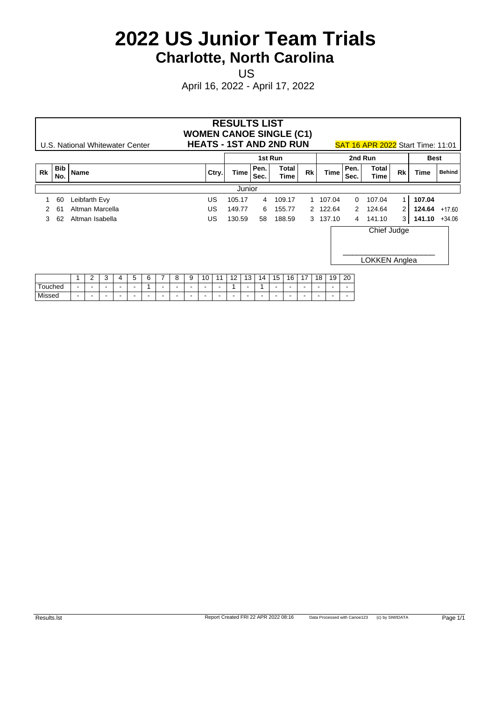US **US US US US** 

|         |            |             | U.S. National Whitewater Center |        |                          |        |        |                          |        |        |                          |                          |        |        | <b>RESULTS LIST</b><br><b>WOMEN CANOE SINGLE (C1)</b><br><b>HEATS - 1ST AND 2ND RUN</b> |                          |                          |        |                |                          |                          | SAT 16 APR 2022 Start Time: 11:01 |                |        |                  |
|---------|------------|-------------|---------------------------------|--------|--------------------------|--------|--------|--------------------------|--------|--------|--------------------------|--------------------------|--------|--------|-----------------------------------------------------------------------------------------|--------------------------|--------------------------|--------|----------------|--------------------------|--------------------------|-----------------------------------|----------------|--------|------------------|
|         |            |             |                                 |        |                          |        |        |                          |        |        |                          |                          |        |        |                                                                                         | 1st Run                  |                          |        |                |                          |                          | 2nd Run                           |                |        | <b>Best</b>      |
| Rk      | Bib<br>No. | <b>Name</b> |                                 |        |                          |        |        |                          |        |        |                          | Ctry.                    | Time   |        | Pen.<br>Sec.                                                                            |                          | Total<br>Time            | Rk     |                | Time                     | Pen.<br>Sec.             | Total<br>Time                     | <b>Rk</b>      | Time   | <b>Behind</b>    |
|         |            |             |                                 |        |                          |        |        |                          |        |        |                          |                          |        | Junior |                                                                                         |                          |                          |        |                |                          |                          |                                   |                |        |                  |
|         | 60         |             | Leibfarth Evy                   |        |                          |        |        |                          |        |        |                          | US.                      | 105.17 |        | $\overline{4}$                                                                          |                          | 109.17                   |        |                | 1 107.04                 |                          | $0$ 107.04                        | $\mathbf{1}$   | 107.04 |                  |
|         | 61         |             | Altman Marcella                 |        |                          |        |        |                          |        |        |                          | US                       | 149.77 |        | 6                                                                                       |                          | 155.77                   |        |                | 2 122.64                 |                          | 2 124.64                          | 2 <sup>2</sup> | 124.64 | +17.60           |
| 3       | 62         |             | Altman Isabella                 |        |                          |        |        |                          |        |        |                          | US.                      | 130.59 |        | 58                                                                                      |                          | 188.59                   |        |                | 3 137.10                 |                          | 4 141.10                          | 3              |        | $141.10 + 34.06$ |
|         |            |             |                                 |        |                          |        |        |                          |        |        |                          |                          |        |        |                                                                                         |                          |                          |        |                |                          |                          | Chief Judge<br>LOKKEN Anglea      |                |        |                  |
|         |            |             | 2                               | 3      | 4                        | 5      | 6      |                          | 8      | 9      | 10                       | 11                       | 12     | 13     | 14                                                                                      | 15                       | 16                       | 17     | 18             | 19                       | 20                       |                                   |                |        |                  |
| Touched |            | $\,$        | $\overline{\phantom{a}}$        |        | $\overline{\phantom{a}}$ | $\sim$ |        | $\overline{\phantom{0}}$ | $\,$   | $\,$   | $\overline{\phantom{a}}$ |                          |        | $\sim$ |                                                                                         |                          | $\overline{\phantom{a}}$ |        |                |                          |                          |                                   |                |        |                  |
| Missed  |            | $\sim$      | $\overline{\phantom{a}}$        | $\sim$ | $\sim$                   | $\sim$ | $\sim$ | $\sim$                   | $\sim$ | $\sim$ | $\overline{\phantom{a}}$ | $\overline{\phantom{a}}$ | $\sim$ | $\sim$ | $\sim$                                                                                  | $\overline{\phantom{0}}$ | $\overline{\phantom{a}}$ | $\sim$ | $\blacksquare$ | $\overline{\phantom{a}}$ | $\overline{\phantom{a}}$ |                                   |                |        |                  |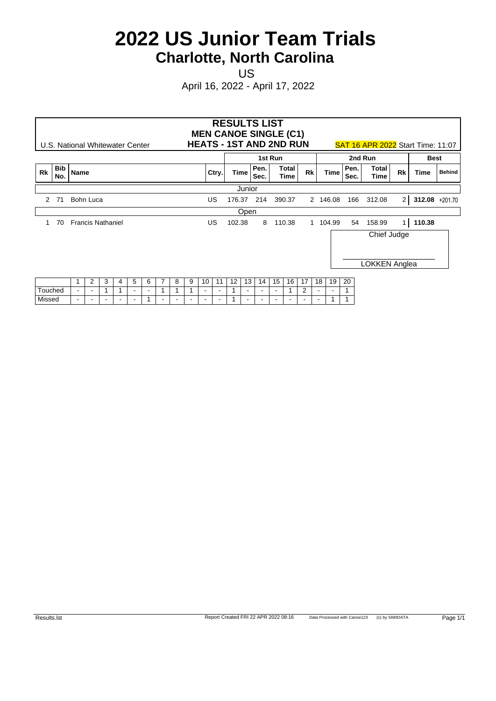US **US US US US** 

|         |                   | U.S. National Whitewater Center |                          |   |                          |                |                          |   |   |                          |                          |        |        | <b>RESULTS LIST</b><br><b>MEN CANOE SINGLE (C1)</b><br><b>HEATS - 1ST AND 2ND RUN</b> |                          |               |    |                          |          |              | <b>SAT 16 APR 2022 Start Time: 11:07</b> |                |                |               |
|---------|-------------------|---------------------------------|--------------------------|---|--------------------------|----------------|--------------------------|---|---|--------------------------|--------------------------|--------|--------|---------------------------------------------------------------------------------------|--------------------------|---------------|----|--------------------------|----------|--------------|------------------------------------------|----------------|----------------|---------------|
|         |                   |                                 |                          |   |                          |                |                          |   |   |                          |                          |        |        |                                                                                       | 1st Run                  |               |    |                          |          |              | 2nd Run                                  |                | <b>Best</b>    |               |
| Rk      | <b>Bib</b><br>No. | <b>Name</b>                     |                          |   |                          |                |                          |   |   |                          | Ctry.                    |        | Time   | Pen.<br>Sec.                                                                          |                          | Total<br>Time | Rk |                          | Time     | Pen.<br>Sec. | Total<br>Time                            | Rk             | Time           | <b>Behind</b> |
|         |                   |                                 |                          |   |                          |                |                          |   |   |                          |                          |        | Junior |                                                                                       |                          |               |    |                          |          |              |                                          |                |                |               |
| 2 71    |                   | Bohn Luca                       |                          |   |                          |                |                          |   |   |                          | US                       |        |        | 176.37 214                                                                            |                          | 390.37        |    |                          | 2 146.08 | 166          | 312.08                                   | 2 <sup>2</sup> | 312.08 +201.70 |               |
|         |                   |                                 |                          |   |                          |                |                          |   |   |                          |                          |        | Open   |                                                                                       |                          |               |    |                          |          |              |                                          |                |                |               |
|         | 70                | <b>Francis Nathaniel</b>        |                          |   |                          |                |                          |   |   |                          | US                       | 102.38 |        |                                                                                       |                          | 8 110.38      |    |                          | 1 104.99 | 54           | 158.99                                   | 1 <sup>1</sup> | 110.38         |               |
|         |                   |                                 |                          |   |                          |                |                          |   |   |                          |                          |        |        |                                                                                       |                          |               |    |                          |          |              | Chief Judge<br>LOKKEN Anglea             |                |                |               |
|         |                   |                                 | $\overline{2}$           | 3 | 4                        | 5              | 6                        | 8 | 9 | 10                       | 11                       | 12     | 13     | 14                                                                                    | 15                       | 16            | 17 | 18                       | 19       | 20           |                                          |                |                |               |
| Touched |                   | $\sim$                          | $\sim$                   |   |                          | $\sim$         | $\overline{\phantom{a}}$ |   |   | $\overline{\phantom{a}}$ | $\overline{\phantom{a}}$ |        | $\sim$ | $\sim$                                                                                | $\overline{\phantom{a}}$ |               | 2  | $\overline{\phantom{a}}$ | $\,$     |              |                                          |                |                |               |
| Missed  |                   |                                 | $\overline{\phantom{a}}$ |   | $\overline{\phantom{a}}$ | $\blacksquare$ |                          |   |   |                          |                          |        | $\sim$ | $\overline{\phantom{a}}$                                                              |                          |               |    |                          |          |              |                                          |                |                |               |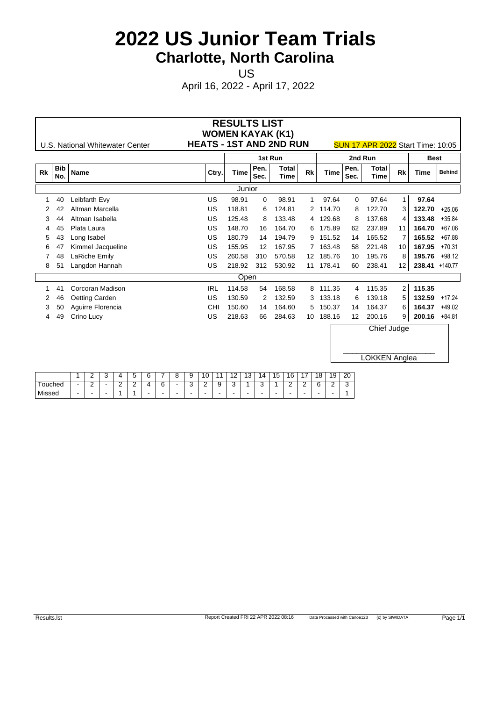US **US US US US** 

April 16, 2022 - April 17, 2022

|           |                   |                                 |                                | <b>RESULTS LIST</b><br><b>WOMEN KAYAK (K1)</b> |              |               |           |             |                  |                                          |                |                 |               |
|-----------|-------------------|---------------------------------|--------------------------------|------------------------------------------------|--------------|---------------|-----------|-------------|------------------|------------------------------------------|----------------|-----------------|---------------|
|           |                   | U.S. National Whitewater Center | <b>HEATS - 1ST AND 2ND RUN</b> |                                                |              |               |           |             |                  | <b>SUN 17 APR 2022 Start Time: 10:05</b> |                |                 |               |
|           |                   |                                 |                                |                                                |              | 1st Run       |           |             |                  | 2nd Run                                  |                | <b>Best</b>     |               |
| <b>Rk</b> | <b>Bib</b><br>No. | <b>Name</b>                     | Ctry.                          | Time                                           | Pen.<br>Sec. | Total<br>Time | <b>Rk</b> | <b>Time</b> | Pen.<br>Sec.     | <b>Total</b><br>Time                     | <b>Rk</b>      | Time            | <b>Behind</b> |
|           |                   |                                 |                                | Junior                                         |              |               |           |             |                  |                                          |                |                 |               |
|           | 40                | Leibfarth Evy                   | US.                            | 98.91                                          | 0            | 98.91         |           | 97.64       | $\Omega$         | 97.64                                    | $\mathbf{1}$   | 97.64           |               |
|           | 42                | Altman Marcella                 | US                             | 118.81                                         | 6            | 124.81        |           | 2 114.70    | 8                | 122.70                                   | 3              | 122.70          | $+25.06$      |
| 3         | 44                | Altman Isabella                 | US                             | 125.48                                         | 8            | 133.48        |           | 4 129.68    | 8                | 137.68                                   | 4              |                 | 133.48 +35.84 |
| 4         | 45                | Plata Laura                     | US                             | 148.70                                         | 16           | 164.70        |           | 6 175.89    | 62               | 237.89                                   | 11             | 164.70          | $+67.06$      |
| 5         |                   | Long Isabel                     | US                             | 180.79                                         | 14           | 194.79        |           | 9 151.52    | 14               | 165.52                                   | 7              | 165.52          | $+67.88$      |
| 6         |                   | Kimmel Jacqueline               | US                             | 155.95                                         | 12           | 167.95        |           | 7 163.48    | 58               | 221.48                                   | 10             |                 | 167.95 +70.31 |
|           | 48                | LaRiche Emily                   | US                             | 260.58                                         | 310          | 570.58        |           | 12 185.76   | 10               | 195.76                                   | 8              |                 | 195.76 +98.12 |
| 8         | 51                | Langdon Hannah                  | US                             | 218.92                                         | 312          | 530.92        |           | 11 178.41   | 60               | 238.41                                   | 12             | 238.41 +140.77  |               |
|           |                   |                                 |                                | Open                                           |              |               |           |             |                  |                                          |                |                 |               |
|           | 41                | Corcoran Madison                | <b>IRL</b>                     | 114.58                                         | 54           | 168.58        |           | 8 111.35    |                  | 4 115.35                                 | $\overline{2}$ | 115.35          |               |
|           | 46                | Oetting Carden                  | US                             | 130.59                                         | 2            | 132.59        |           | 3 133.18    | 6                | 139.18                                   | 5              | 132.59          | $+17.24$      |
|           | 50                | Aguirre Florencia               | CHI                            | 150.60                                         | 14           | 164.60        |           | 5 150.37    | 14               | 164.37                                   | 6              | 164.37          | $+49.02$      |
| 4         | 49                | Crino Lucy                      | US                             | 218.63                                         | 66           | 284.63        |           | 10 188.16   | 12 <sup>12</sup> | 200.16                                   | 9              | $200.16 +84.81$ |               |
|           |                   |                                 |                                |                                                |              |               |           |             |                  | Chief Judge                              |                |                 |               |

LOKKEN Anglea

|            |        |     | $\cdot$ |                               | ∽ | $\sim$         |     |        | 10       |              |   | . | $\overline{4}$ | 15 | 16                       | $\overline{\phantom{a}}$ | 18                | 19 | 20<br>__       |
|------------|--------|-----|---------|-------------------------------|---|----------------|-----|--------|----------|--------------|---|---|----------------|----|--------------------------|--------------------------|-------------------|----|----------------|
| $T$ ouched | $\sim$ | -   |         | $\overline{\phantom{0}}$<br>- | - | $\overline{ }$ | n   | $\sim$ | <u>_</u> | u<br>$\cdot$ | ັ |   |                |    | -                        | -                        | $\sim$<br>$\cdot$ |    | $\epsilon$<br> |
| Missed     |        | . . |         |                               |   |                | . . | . .    |          |              | - |   | $\sim$         |    | $\overline{\phantom{a}}$ | -                        |                   |    |                |

 $\overline{\phantom{a}}$  , and the set of the set of the set of the set of the set of the set of the set of the set of the set of the set of the set of the set of the set of the set of the set of the set of the set of the set of the s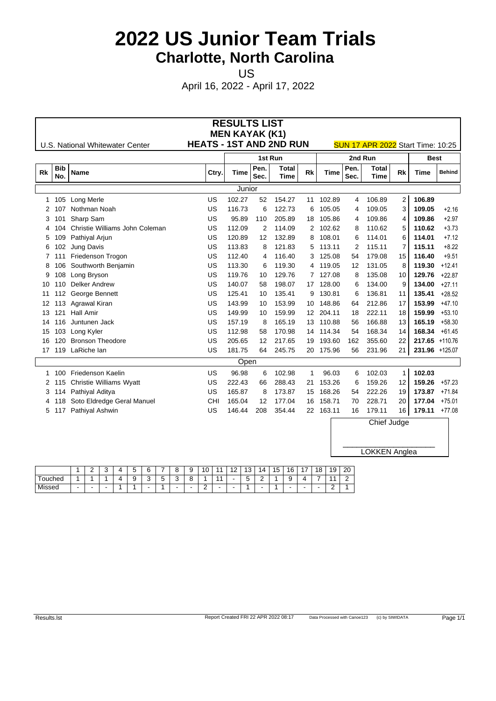US **US US US US** 

April 16, 2022 - April 17, 2022

|           |                   |                                 |                                | <b>RESULTS LIST</b>   |                   |                             |           |           |              |                                          |                |                  |               |
|-----------|-------------------|---------------------------------|--------------------------------|-----------------------|-------------------|-----------------------------|-----------|-----------|--------------|------------------------------------------|----------------|------------------|---------------|
|           |                   | U.S. National Whitewater Center | <b>HEATS - 1ST AND 2ND RUN</b> | <b>MEN KAYAK (K1)</b> |                   |                             |           |           |              | <b>SUN 17 APR 2022</b> Start Time: 10:25 |                |                  |               |
|           |                   |                                 |                                |                       | 1st Run           |                             |           |           |              | 2nd Run                                  |                | <b>Best</b>      |               |
| <b>Rk</b> | <b>Bib</b><br>No. | <b>Name</b>                     | Ctry.                          | Time                  | Pen.<br>Sec.      | <b>Total</b><br><b>Time</b> | <b>Rk</b> | Time      | Pen.<br>Sec. | <b>Total</b><br><b>Time</b>              | <b>Rk</b>      | <b>Time</b>      | <b>Behind</b> |
|           |                   |                                 |                                | Junior                |                   |                             |           |           |              |                                          |                |                  |               |
|           | 1 105             | Long Merle                      | US                             | 102.27                | 52                | 154.27                      |           | 11 102.89 | 4            | 106.89                                   | 2              | 106.89           |               |
| 2         | 107               | Nothman Noah                    | US                             | 116.73                | 6                 | 122.73                      | 6         | 105.05    | 4            | 109.05                                   | 3              | 109.05           | $+2.16$       |
| 3         |                   | Sharp Sam                       | US                             | 95.89                 | 110               | 205.89                      |           | 18 105.86 | 4            | 109.86                                   | 4              | 109.86           | $+2.97$       |
| 4         | 104               | Christie Williams John Coleman  | US                             | 112.09                | 2                 | 114.09                      |           | 2 102.62  | 8            | 110.62                                   | 5              | 110.62           | $+3.73$       |
| 5         | 109               | Pathiyal Arjun                  | US                             | 120.89                | $12 \overline{ }$ | 132.89                      |           | 8 108.01  | 6            | 114.01                                   | 6              | 114.01           | $+7.12$       |
| 6         | 102               | Jung Davis                      | US                             | 113.83                | 8                 | 121.83                      |           | 5 113.11  | 2            | 115.11                                   | $\overline{7}$ | 115.11           | $+8.22$       |
|           |                   | Friedenson Trogon               | US                             | 112.40                | 4                 | 116.40                      |           | 3 125.08  | 54           | 179.08                                   | 15             | 116.40           | $+9.51$       |
| 8         | 106               | Southworth Benjamin             | US                             | 113.30                | 6                 | 119.30                      |           | 4 119.05  | 12           | 131.05                                   | 8              | 119.30           | $+12.41$      |
| 9         | 108               | Long Bryson                     | US                             | 119.76                | 10                | 129.76                      |           | 7 127.08  | 8            | 135.08                                   | 10             | 129.76           | $+22.87$      |
| 10        | 110               | Delker Andrew                   | US                             | 140.07                | 58                | 198.07                      |           | 17 128.00 | 6            | 134.00                                   | 9              | 134.00           | $+27.11$      |
| 11        | 112               | George Bennett                  | US                             | 125.41                | 10                | 135.41                      |           | 9 130.81  | 6            | 136.81                                   | 11             | 135.41           | $+28.52$      |
| 12        | 113               | <b>Agrawal Kiran</b>            | US                             | 143.99                | 10                | 153.99                      |           | 10 148.86 | 64           | 212.86                                   | 17             | 153.99           | $+47.10$      |
| 13        | 121               | <b>Hall Amir</b>                | US                             | 149.99                | 10                | 159.99                      |           | 12 204.11 | 18           | 222.11                                   | 18             | 159.99           | $+53.10$      |
| 14        | 116               | Juntunen Jack                   | US                             | 157.19                | 8                 | 165.19                      |           | 13 110.88 | 56           | 166.88                                   | 13             | 165.19           | $+58.30$      |
| 15        | 103               | Long Kyler                      | US                             | 112.98                | 58                | 170.98                      |           | 14 114.34 | 54           | 168.34                                   | 14             | $168.34 + 61.45$ |               |
| 16        | 120               | <b>Bronson Theodore</b>         | US                             | 205.65                | $12 \overline{ }$ | 217.65                      |           | 19 193.60 | 162          | 355.60                                   | 22             | 217.65 +110.76   |               |
| 17        |                   | 119 LaRiche lan                 | US                             | 181.75                | 64                | 245.75                      |           | 20 175.96 | 56           | 231.96                                   | 21             | 231.96 +125.07   |               |
|           |                   |                                 |                                | Open                  |                   |                             |           |           |              |                                          |                |                  |               |
|           | 100               | Friedenson Kaelin               | US                             | 96.98                 | 6                 | 102.98                      | 1         | 96.03     | 6            | 102.03                                   | $\mathbf{1}$   | 102.03           |               |
|           | 2 115             | <b>Christie Williams Wyatt</b>  | US                             | 222.43                | 66                | 288.43                      |           | 21 153.26 | 6            | 159.26                                   | 12             | 159.26           | $+57.23$      |
| 3         | 114               | Pathiyal Aditya                 | US                             | 165.87                | 8                 | 173.87                      |           | 15 168.26 | 54           | 222.26                                   | 19             | 173.87 +71.84    |               |
| 4         | 118               | Soto Eldredge Geral Manuel      | CHI                            | 165.04                | 12                | 177.04                      |           | 16 158.71 | 70           | 228.71                                   | 20             | 177.04           | $+75.01$      |
|           |                   | 5 117 Pathiyal Ashwin           | US                             | 146.44                | 208               | 354.44                      |           | 22 163.11 | 16           | 179.11                                   | 16             | $179.11 + 77.08$ |               |
|           |                   |                                 |                                |                       |                   |                             |           |           |              | Chief Judge                              |                |                  |               |

|              | <u>_</u> | $\cdot$ | $\mathbf{u}$ |          | $\sim$<br>$\sim$  | $\cdot$                  | 9                | $\sqrt{2}$<br><b>IV</b> |                          | . . | ں ا    | 14                            | 15 | 16    | $\rightarrow$            | 18 | 19     | 20 |
|--------------|----------|---------|--------------|----------|-------------------|--------------------------|------------------|-------------------------|--------------------------|-----|--------|-------------------------------|----|-------|--------------------------|----|--------|----|
| ÷<br>Touched |          |         | $\mathbf{u}$ | . .<br>. | $\sim$<br>$\cdot$ | v                        | $\sim$<br>۰<br>╰ |                         |                          |     | -<br>u | $\overline{\phantom{0}}$<br>- |    | u<br> | $\overline{\phantom{a}}$ |    |        | -  |
| Missed       |          |         |              |          |                   | $\overline{\phantom{0}}$ | -                | -                       | $\overline{\phantom{a}}$ | -   |        | . .                           |    |       |                          |    | ∽<br>- |    |

 $\overline{\phantom{a}}$  , and the set of the set of the set of the set of the set of the set of the set of the set of the set of the set of the set of the set of the set of the set of the set of the set of the set of the set of the s

LOKKEN Anglea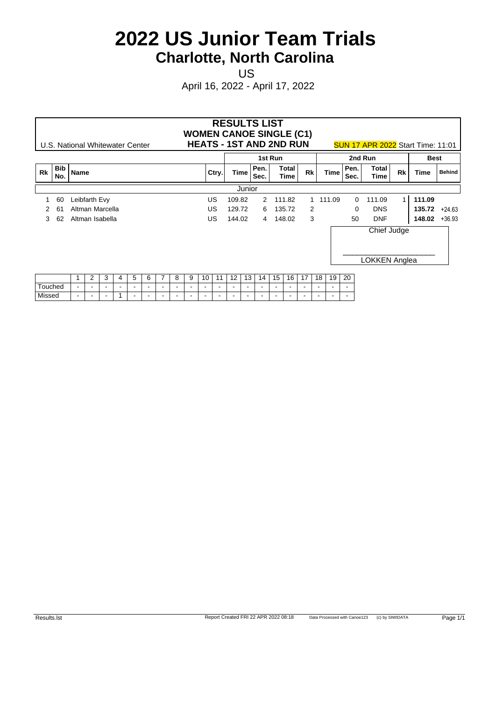US **US US US US** 

|         | U.S. National Whitewater Center |                                  |                          |                          |                          |                          |                          |        |        |                          |                          |                          |                          |                          | <b>RESULTS LIST</b><br><b>WOMEN CANOE SINGLE (C1)</b><br><b>HEATS - 1ST AND 2ND RUN</b> |                          |                          |        |    |                          |                          | <b>SUN 17 APR 2022</b> Start Time: 11:01 |           |                  |               |
|---------|---------------------------------|----------------------------------|--------------------------|--------------------------|--------------------------|--------------------------|--------------------------|--------|--------|--------------------------|--------------------------|--------------------------|--------------------------|--------------------------|-----------------------------------------------------------------------------------------|--------------------------|--------------------------|--------|----|--------------------------|--------------------------|------------------------------------------|-----------|------------------|---------------|
|         |                                 |                                  |                          |                          |                          |                          |                          |        |        |                          |                          |                          |                          |                          |                                                                                         | 1st Run                  |                          |        |    |                          |                          | 2nd Run                                  |           | <b>Best</b>      |               |
| Rk      | Bib<br>No.                      | Name                             |                          |                          |                          |                          |                          |        |        |                          |                          | Ctry.                    | <b>Time</b>              |                          | Pen.<br>Sec.                                                                            |                          | Total<br>Time            | Rk     |    | Time                     | Pen.<br>Sec.             | Total<br>Time                            | <b>Rk</b> | <b>Time</b>      | <b>Behind</b> |
|         |                                 |                                  |                          |                          |                          |                          |                          |        |        |                          |                          |                          |                          | Junior                   |                                                                                         |                          |                          |        |    |                          |                          |                                          |           |                  |               |
|         | 60                              | Leibfarth Evy                    |                          |                          |                          |                          |                          |        |        |                          |                          | <b>US</b>                | 109.82                   |                          |                                                                                         |                          | 2 111.82                 |        |    | 1 111.09                 | $\overline{0}$           | 111.09                                   |           | 111.09           |               |
|         | -61                             | Altman Marcella                  |                          |                          |                          |                          |                          |        |        |                          |                          | US                       | 129.72                   |                          |                                                                                         |                          | 6 135.72                 | 2      |    |                          | $\overline{0}$           | <b>DNS</b>                               |           | $135.72 +24.63$  |               |
| 3       | 62                              | Altman Isabella                  |                          |                          |                          |                          |                          |        |        |                          |                          | US.                      | 144.02                   |                          |                                                                                         |                          | 4 148.02                 | 3      |    |                          | 50                       | <b>DNF</b>                               |           | $148.02 + 36.93$ |               |
|         |                                 |                                  |                          |                          |                          |                          |                          |        |        |                          |                          |                          |                          |                          |                                                                                         |                          |                          |        |    |                          |                          | Chief Judge<br><b>LOKKEN Anglea</b>      |           |                  |               |
|         |                                 |                                  | 2                        | 3                        | 4                        | 5                        | 6                        |        | 8      | 9                        | 10                       | 11                       | 12                       | 13                       | 14                                                                                      | 15                       | 16                       | 17     | 18 | 19                       | 20                       |                                          |           |                  |               |
| Touched |                                 | $\,$<br>$\overline{\phantom{a}}$ |                          |                          | $\overline{\phantom{a}}$ | $\overline{\phantom{a}}$ | $\overline{\phantom{a}}$ |        |        | $\overline{\phantom{a}}$ | $\overline{\phantom{a}}$ |                          | $\overline{\phantom{a}}$ | $\overline{\phantom{a}}$ | $\sim$                                                                                  |                          |                          |        |    |                          |                          |                                          |           |                  |               |
| Missed  |                                 | $\sim$                           | $\overline{\phantom{a}}$ | $\overline{\phantom{a}}$ |                          | $\sim$                   | $\sim$                   | $\sim$ | $\sim$ | $\sim$                   | $\overline{\phantom{a}}$ | $\overline{\phantom{a}}$ | $\sim$                   | $\sim$                   | $\sim$                                                                                  | $\overline{\phantom{a}}$ | $\overline{\phantom{a}}$ | $\sim$ | ۰  | $\overline{\phantom{a}}$ | $\overline{\phantom{a}}$ |                                          |           |                  |               |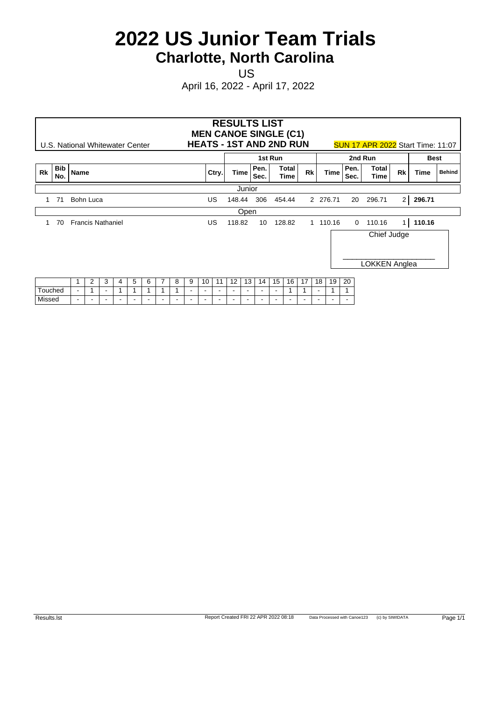US **US US US US** 

|         |            |        | U.S. National Whitewater Center |                          |                          |        |        |        |                          |                          |                          |                          | <b>RESULTS LIST</b><br><b>MEN CANOE SINGLE (C1)</b><br><b>HEATS - 1ST AND 2ND RUN</b> |                          |                          |                          |                          |           |                          |                          |                          | <b>SUN 17 APR 2022</b> Start Time: 11:07 |                |             |               |
|---------|------------|--------|---------------------------------|--------------------------|--------------------------|--------|--------|--------|--------------------------|--------------------------|--------------------------|--------------------------|---------------------------------------------------------------------------------------|--------------------------|--------------------------|--------------------------|--------------------------|-----------|--------------------------|--------------------------|--------------------------|------------------------------------------|----------------|-------------|---------------|
|         |            |        |                                 |                          |                          |        |        |        |                          |                          |                          |                          |                                                                                       |                          |                          | 1st Run                  |                          |           |                          |                          |                          | 2nd Run                                  |                | <b>Best</b> |               |
| Rk      | Bib<br>No. | Name   |                                 |                          |                          |        |        |        |                          |                          |                          | Ctry.                    | Time                                                                                  |                          | Pen.<br>Sec.             |                          | Total<br>Time            | <b>Rk</b> |                          | <b>Time</b>              | Pen.<br>Sec.             | Total<br>Time                            | <b>Rk</b>      | Time        | <b>Behind</b> |
|         |            |        |                                 |                          |                          |        |        |        |                          |                          |                          |                          |                                                                                       | Junior                   |                          |                          |                          |           |                          |                          |                          |                                          |                |             |               |
|         | -71        |        | Bohn Luca                       |                          |                          |        |        |        |                          |                          |                          | <b>US</b>                | 148.44                                                                                |                          | 306                      |                          | 454.44                   |           |                          | 2 276.71                 | 20                       | 296.71                                   | 2              | 296.71      |               |
|         |            |        |                                 |                          |                          |        |        |        |                          |                          |                          |                          |                                                                                       | Open                     |                          |                          |                          |           |                          |                          |                          |                                          |                |             |               |
|         | 70         |        | <b>Francis Nathaniel</b>        |                          |                          |        |        |        |                          |                          |                          | <b>US</b>                | 118.82                                                                                |                          | 10                       |                          | 128.82                   |           |                          | 1 110.16                 | $\overline{0}$           | 110.16                                   | 1 <sup>1</sup> | 110.16      |               |
|         |            |        |                                 |                          |                          |        |        |        |                          |                          |                          |                          |                                                                                       |                          |                          |                          |                          |           |                          |                          |                          | Chief Judge<br><b>LOKKEN Anglea</b>      |                |             |               |
|         |            |        |                                 |                          |                          |        |        |        |                          |                          |                          |                          |                                                                                       |                          |                          |                          |                          |           |                          |                          |                          |                                          |                |             |               |
|         |            |        | 2                               | 3                        | 4                        | 5      | 6      |        | 8                        | 9                        | 10                       | 11                       | 12                                                                                    | 13                       | 14                       | 15                       | 16                       | 17        | 18                       | 19                       | 20                       |                                          |                |             |               |
| Touched |            | $\,$   |                                 | $\overline{\phantom{a}}$ |                          |        |        |        |                          | $\overline{\phantom{a}}$ | $\overline{\phantom{a}}$ | $\overline{\phantom{a}}$ | $\overline{\phantom{a}}$                                                              | $\overline{\phantom{a}}$ | $\overline{\phantom{a}}$ |                          |                          |           | $\overline{\phantom{a}}$ |                          |                          |                                          |                |             |               |
| Missed  |            | $\sim$ | $\sim$                          | $\overline{\phantom{a}}$ | $\overline{\phantom{a}}$ | $\sim$ | $\sim$ | $\sim$ | $\overline{\phantom{a}}$ | $\sim$                   | $\overline{\phantom{a}}$ | $\overline{\phantom{a}}$ | $\overline{\phantom{a}}$                                                              | $\overline{\phantom{a}}$ | $\sim$                   | $\overline{\phantom{a}}$ | $\overline{\phantom{a}}$ | $\sim$    | $\blacksquare$           | $\overline{\phantom{a}}$ | $\overline{\phantom{a}}$ |                                          |                |             |               |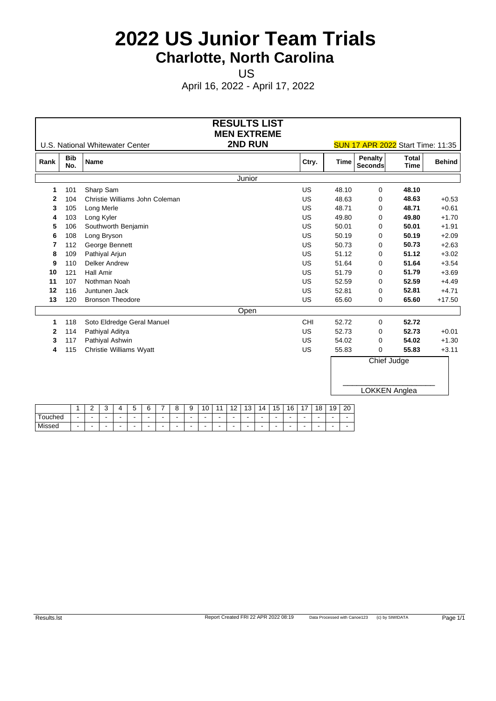US **US US US US** 

|      |                   | U.S. National Whitewater Center | <b>RESULTS LIST</b><br><b>MEN EXTREME</b><br>2ND RUN | <b>SUN 17 APR 2022</b> Start Time: 11:35 |             |                    |                      |               |  |  |  |  |
|------|-------------------|---------------------------------|------------------------------------------------------|------------------------------------------|-------------|--------------------|----------------------|---------------|--|--|--|--|
| Rank | <b>Bib</b><br>No. | <b>Name</b>                     |                                                      | Ctry.                                    | <b>Time</b> | Penalty<br>Seconds | <b>Total</b><br>Time | <b>Behind</b> |  |  |  |  |
|      |                   |                                 | Junior                                               |                                          |             |                    |                      |               |  |  |  |  |
| -1   | 101               | Sharp Sam                       |                                                      | US                                       | 48.10       | 0                  | 48.10                |               |  |  |  |  |
| 2    | 104               | Christie Williams John Coleman  |                                                      | <b>US</b>                                | 48.63       | $\mathbf 0$        | 48.63                | $+0.53$       |  |  |  |  |
| 3    | 105               | Long Merle                      |                                                      | US                                       | 48.71       | $\Omega$           | 48.71                | $+0.61$       |  |  |  |  |
| 4    | 103               | Long Kyler                      |                                                      | US                                       | 49.80       | 0                  | 49.80                | $+1.70$       |  |  |  |  |
| 5    | 106               | Southworth Benjamin             |                                                      | US                                       | 50.01       | 0                  | 50.01                | $+1.91$       |  |  |  |  |
| 6    | 108               | Long Bryson                     |                                                      | US                                       | 50.19       | $\Omega$           | 50.19                | $+2.09$       |  |  |  |  |
| 7    | 112               | George Bennett                  |                                                      | <b>US</b>                                | 50.73       | 0                  | 50.73                | $+2.63$       |  |  |  |  |
| 8    | 109               | Pathiyal Arjun                  |                                                      | <b>US</b>                                | 51.12       | 0                  | 51.12                | $+3.02$       |  |  |  |  |
| 9    | 110               | <b>Delker Andrew</b>            |                                                      | US                                       | 51.64       | 0                  | 51.64                | $+3.54$       |  |  |  |  |
| 10   | 121               | <b>Hall Amir</b>                |                                                      | US                                       | 51.79       | 0                  | 51.79                | $+3.69$       |  |  |  |  |
| 11   | 107               | Nothman Noah                    |                                                      | US                                       | 52.59       | 0                  | 52.59                | $+4.49$       |  |  |  |  |
| 12   | 116               | Juntunen Jack                   |                                                      | US                                       | 52.81       | $\mathbf 0$        | 52.81                | $+4.71$       |  |  |  |  |
| 13   | 120               | <b>Bronson Theodore</b>         |                                                      | US                                       | 65.60       | $\mathbf 0$        | 65.60                | $+17.50$      |  |  |  |  |
|      |                   |                                 | Open                                                 |                                          |             |                    |                      |               |  |  |  |  |
| 1    | 118               | Soto Eldredge Geral Manuel      |                                                      | CHI                                      | 52.72       | $\mathbf 0$        | 52.72                |               |  |  |  |  |
| 2    | 114               | Pathiyal Aditya                 |                                                      | US                                       | 52.73       | 0                  | 52.73                | $+0.01$       |  |  |  |  |
| 3    | 117               | Pathiyal Ashwin                 |                                                      | <b>US</b>                                | 54.02       | $\mathbf 0$        | 54.02                | $+1.30$       |  |  |  |  |
| 4    | 115               | Christie Williams Wyatt         |                                                      | US                                       | 55.83       | $\mathbf 0$        | 55.83                | $+3.11$       |  |  |  |  |
|      |                   |                                 |                                                      |                                          |             | Chief Judge        |                      |               |  |  |  |  |
|      |                   |                                 |                                                      |                                          |             | LOKKEN Anglea      |                      |               |  |  |  |  |

|         | - | $\sim$<br> | 4 |  | o                        | . .<br>$\cdot$ | 10 | - | $\overline{\phantom{a}}$<br>ن ا | ہ ہ | $\overline{\phantom{0}}$<br>∽<br>$\cdot$ | 16 | . - | <b>4 C</b> | 10<br>$\sigma$ | 20 |
|---------|---|------------|---|--|--------------------------|----------------|----|---|---------------------------------|-----|------------------------------------------|----|-----|------------|----------------|----|
| Гоuched |   |            | - |  |                          |                |    |   | $\overline{\phantom{0}}$        |     |                                          |    |     | $-$        | . .            |    |
| Missed  |   |            | - |  | $\overline{\phantom{a}}$ | . .            |    |   |                                 | . . |                                          |    |     | -          | . .            |    |